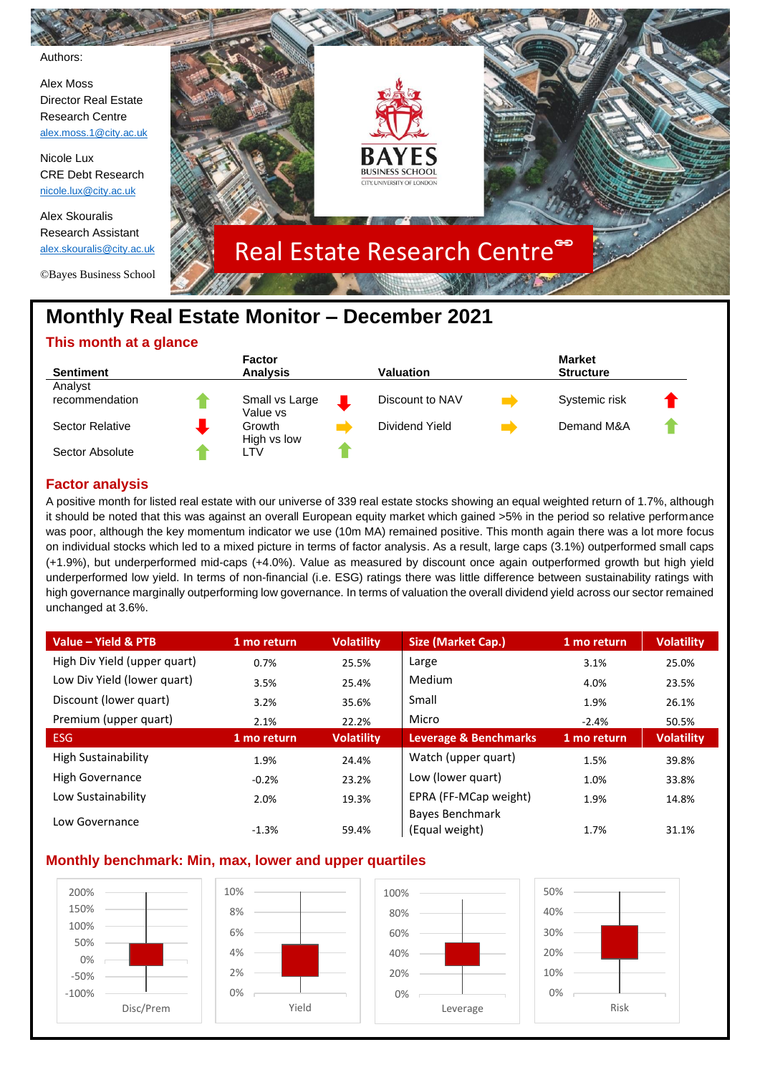

# **Monthly Real Estate Monitor – December 2021**

## **This month at a glance**

|                  | <b>Factor</b>   |                  | <b>Market</b>    |  |
|------------------|-----------------|------------------|------------------|--|
| <b>Sentiment</b> | <b>Analysis</b> | <b>Valuation</b> | <b>Structure</b> |  |
| Analyst          |                 |                  |                  |  |
| recommendation   | Small vs Large  | Discount to NAV  | Systemic risk    |  |
|                  | Value vs        |                  |                  |  |
| Sector Relative  | Growth          | Dividend Yield   | Demand M&A       |  |
|                  | High vs low     |                  |                  |  |
| Sector Absolute  | ∟TV             |                  |                  |  |

## **Factor analysis**

A positive month for listed real estate with our universe of 339 real estate stocks showing an equal weighted return of 1.7%, although it should be noted that this was against an overall European equity market which gained >5% in the period so relative performance was poor, although the key momentum indicator we use (10m MA) remained positive. This month again there was a lot more focus on individual stocks which led to a mixed picture in terms of factor analysis. As a result, large caps (3.1%) outperformed small caps (+1.9%), but underperformed mid-caps (+4.0%). Value as measured by discount once again outperformed growth but high yield underperformed low yield. In terms of non-financial (i.e. ESG) ratings there was little difference between sustainability ratings with high governance marginally outperforming low governance. In terms of valuation the overall dividend yield across our sector remained unchanged at 3.6%.

| Value - Yield & PTB          | 1 mo return | <b>Volatility</b> | Size (Market Cap.)    | 1 mo return | <b>Volatility</b> |
|------------------------------|-------------|-------------------|-----------------------|-------------|-------------------|
| High Div Yield (upper quart) | 0.7%        | 25.5%             | Large                 | 3.1%        | 25.0%             |
| Low Div Yield (lower quart)  | 3.5%        | 25.4%             | Medium                | 4.0%        | 23.5%             |
| Discount (lower quart)       | 3.2%        | 35.6%             | Small                 | 1.9%        | 26.1%             |
| Premium (upper quart)        | 2.1%        | 22.2%             | Micro                 | $-2.4%$     | 50.5%             |
| <b>ESG</b>                   | 1 mo return | <b>Volatility</b> | Leverage & Benchmarks | 1 mo return | <b>Volatility</b> |
| High Sustainability          | 1.9%        | 24.4%             | Watch (upper quart)   | 1.5%        | 39.8%             |
| High Governance              | $-0.2%$     | 23.2%             | Low (lower quart)     | 1.0%        | 33.8%             |
| Low Sustainability           | 2.0%        | 19.3%             | EPRA (FF-MCap weight) | 1.9%        | 14.8%             |
| Low Governance               |             |                   | Bayes Benchmark       |             |                   |
|                              | $-1.3%$     | 59.4%             | (Equal weight)        | 1.7%        | 31.1%             |

## **Monthly benchmark: Min, max, lower and upper quartiles**

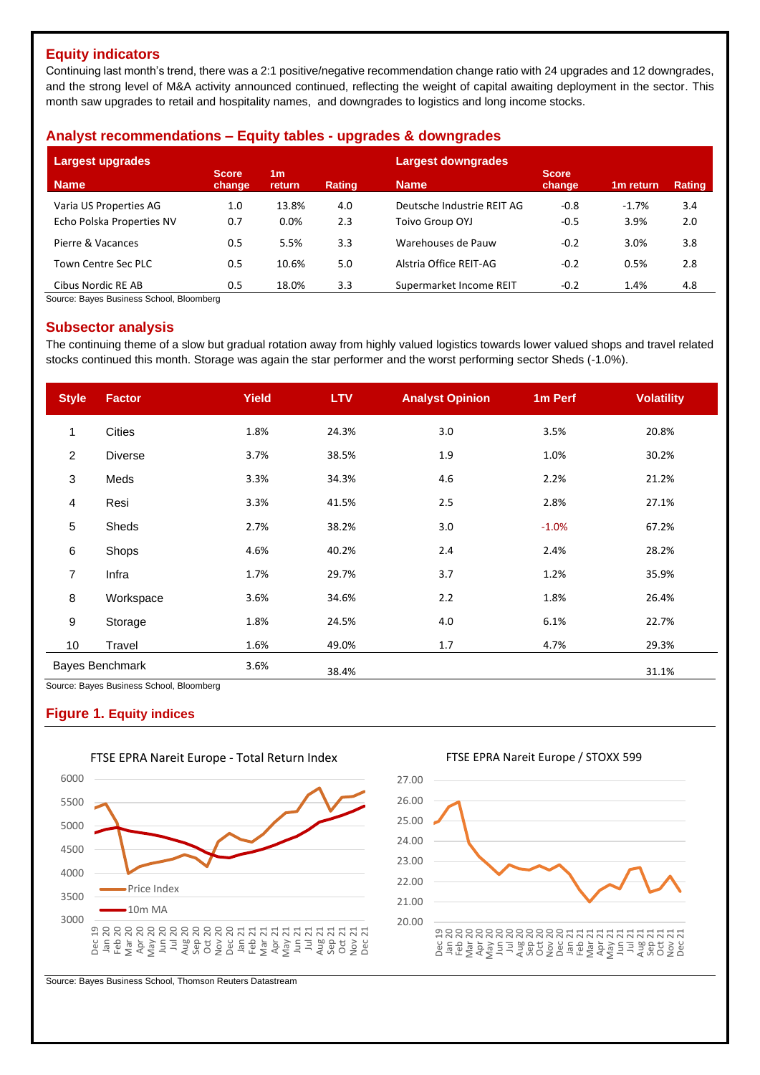## **Equity indicators**

Continuing last month's trend, there was a 2:1 positive/negative recommendation change ratio with 24 upgrades and 12 downgrades, and the strong level of M&A activity announced continued, reflecting the weight of capital awaiting deployment in the sector. This month saw upgrades to retail and hospitality names, and downgrades to logistics and long income stocks.

### **Analyst recommendations – Equity tables - upgrades & downgrades**

| Largest upgrades           |                        |                          |               | Largest downgrades         |                        |                       |               |
|----------------------------|------------------------|--------------------------|---------------|----------------------------|------------------------|-----------------------|---------------|
| <b>Name</b>                | <b>Score</b><br>change | 1 <sub>m</sub><br>return | <b>Rating</b> | <b>Name</b>                | <b>Score</b><br>change | 1 <sub>m</sub> return | <b>Rating</b> |
| Varia US Properties AG     | 1.0                    | 13.8%                    | 4.0           | Deutsche Industrie REIT AG | $-0.8$                 | $-1.7%$               | 3.4           |
| Echo Polska Properties NV  | 0.7                    | $0.0\%$                  | 2.3           | Toivo Group OYJ            | $-0.5$                 | 3.9%                  | 2.0           |
| Pierre & Vacances          | 0.5                    | 5.5%                     | 3.3           | Warehouses de Pauw         | $-0.2$                 | 3.0%                  | 3.8           |
| <b>Town Centre Sec PLC</b> | 0.5                    | 10.6%                    | 5.0           | Alstria Office REIT-AG     | $-0.2$                 | 0.5%                  | 2.8           |
| Cibus Nordic RE AB         | 0.5                    | 18.0%                    | 3.3           | Supermarket Income REIT    | $-0.2$                 | 1.4%                  | 4.8           |

Source: Bayes Business School, Bloomberg

#### **Subsector analysis**

The continuing theme of a slow but gradual rotation away from highly valued logistics towards lower valued shops and travel related stocks continued this month. Storage was again the star performer and the worst performing sector Sheds (-1.0%).

| <b>Style</b>    | <b>Factor</b>                                                      | <b>Yield</b> | <b>LTV</b> | <b>Analyst Opinion</b> | 1m Perf | <b>Volatility</b> |
|-----------------|--------------------------------------------------------------------|--------------|------------|------------------------|---------|-------------------|
| 1               | <b>Cities</b>                                                      | 1.8%         | 24.3%      | 3.0                    | 3.5%    | 20.8%             |
| $\overline{c}$  | <b>Diverse</b>                                                     | 3.7%         | 38.5%      | 1.9                    | 1.0%    | 30.2%             |
| 3               | Meds                                                               | 3.3%         | 34.3%      | 4.6                    | 2.2%    | 21.2%             |
| $\overline{4}$  | Resi                                                               | 3.3%         | 41.5%      | 2.5                    | 2.8%    | 27.1%             |
| 5               | Sheds                                                              | 2.7%         | 38.2%      | 3.0                    | $-1.0%$ | 67.2%             |
| $\,6$           | Shops                                                              | 4.6%         | 40.2%      | 2.4                    | 2.4%    | 28.2%             |
| 7               | Infra                                                              | 1.7%         | 29.7%      | 3.7                    | 1.2%    | 35.9%             |
| $\bf 8$         | Workspace                                                          | 3.6%         | 34.6%      | 2.2                    | 1.8%    | 26.4%             |
| 9               | Storage                                                            | 1.8%         | 24.5%      | 4.0                    | 6.1%    | 22.7%             |
| 10 <sub>1</sub> | Travel                                                             | 1.6%         | 49.0%      | 1.7                    | 4.7%    | 29.3%             |
|                 | <b>Bayes Benchmark</b><br>Course: Douse Ducinese Cebest, Disemberg | 3.6%         | 38.4%      |                        |         | 31.1%             |

Business School, Bloomberg

#### **Figure 1. Equity indices**



FTSE EPRA Nareit Europe / STOXX 599



Source: Bayes Business School, Thomson Reuters Datastream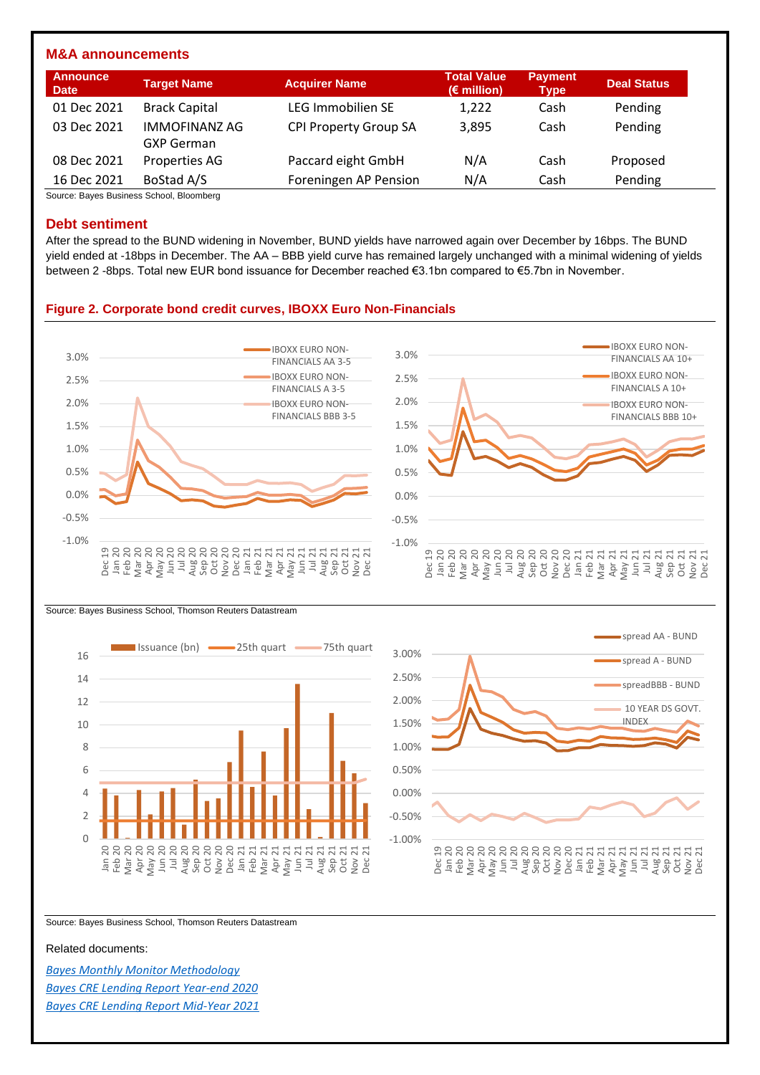#### **M&A announcements**

| Announce<br><b>Date</b> | <b>Target Name</b>                        | <b>Acquirer Name</b>         | <b>Total Value</b><br>$(E$ million) | <b>Payment</b><br><b>Type</b> | <b>Deal Status</b> |
|-------------------------|-------------------------------------------|------------------------------|-------------------------------------|-------------------------------|--------------------|
| 01 Dec 2021             | <b>Brack Capital</b>                      | <b>LEG Immobilien SE</b>     | 1,222                               | Cash                          | Pending            |
| 03 Dec 2021             | <b>IMMOFINANZ AG</b><br><b>GXP German</b> | <b>CPI Property Group SA</b> | 3.895                               | Cash                          | Pending            |
| 08 Dec 2021             | Properties AG                             | Paccard eight GmbH           | N/A                                 | Cash                          | Proposed           |
| 16 Dec 2021             | BoStad A/S                                | Foreningen AP Pension        | N/A                                 | Cash                          | Pending            |

Source: Bayes Business School, Bloomberg

#### **Debt sentiment**

After the spread to the BUND widening in November, BUND yields have narrowed again over December by 16bps. The BUND yield ended at -18bps in December. The AA – BBB yield curve has remained largely unchanged with a minimal widening of yields between 2 -8bps. Total new EUR bond issuance for December reached €3.1bn compared to €5.7bn in November.

#### **Figure 2. Corporate bond credit curves, IBOXX Euro Non-Financials**



Source: Bayes Business School, Thomson Reuters Datastream





Source: Bayes Business School, Thomson Reuters Datastream

#### Related documents:

*[Bayes Monthly Monitor Methodology](https://www.bayes.city.ac.uk/__data/assets/pdf_file/0006/641157/bayes-market-monitor-methodology-document.pdf) [Bayes CRE Lending Report Year-end 2020](https://estore.city.ac.uk/product-catalogue/publications/publications/the-commercial-real-estate-lending-report-excel-data-package-yearend-2020) [Bayes CRE Lending Report Mid-Year 2021](https://estore.city.ac.uk/product-catalogue/publications/publications/the-commercial-real-estate-lending-report-excel-data-package-midyear-2021)*